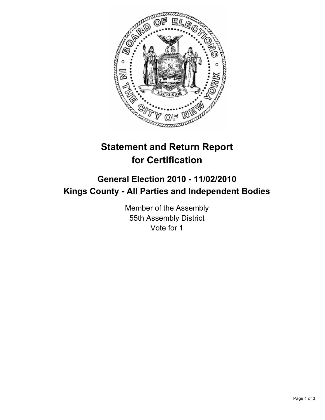

# **Statement and Return Report for Certification**

## **General Election 2010 - 11/02/2010 Kings County - All Parties and Independent Bodies**

Member of the Assembly 55th Assembly District Vote for 1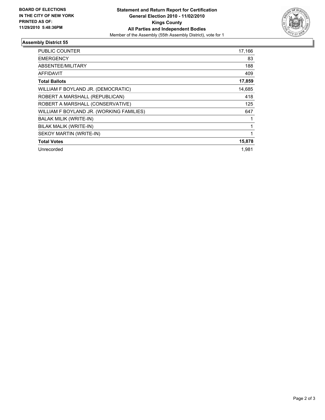

### **Assembly District 55**

| <b>PUBLIC COUNTER</b>                    | 17,166 |
|------------------------------------------|--------|
| <b>EMERGENCY</b>                         | 83     |
| ABSENTEE/MILITARY                        | 188    |
| <b>AFFIDAVIT</b>                         | 409    |
| <b>Total Ballots</b>                     | 17,859 |
| WILLIAM F BOYLAND JR. (DEMOCRATIC)       | 14,685 |
| ROBERT A MARSHALL (REPUBLICAN)           | 418    |
| ROBERT A MARSHALL (CONSERVATIVE)         | 125    |
| WILLIAM F BOYLAND JR. (WORKING FAMILIES) | 647    |
| <b>BALAK MILIK (WRITE-IN)</b>            | 1      |
| BILAK MALIK (WRITE-IN)                   | 1      |
| SEKOY MARTIN (WRITE-IN)                  | 1      |
| <b>Total Votes</b>                       | 15,878 |
| Unrecorded                               | 1.981  |